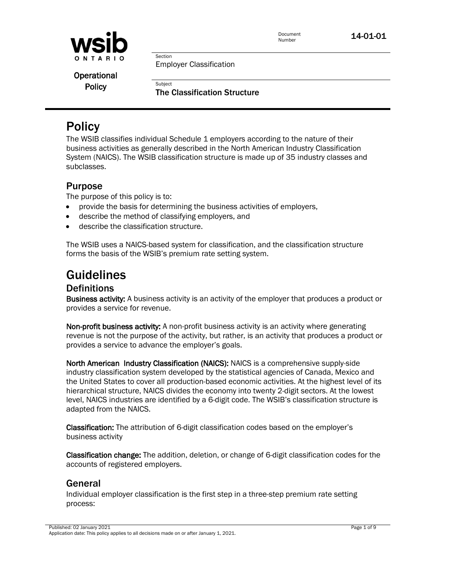

Employer Classification

Section

Subject

Operational **Policy** 

The Classification Structure

## **Policy**

The WSIB classifies individual Schedule 1 employers according to the nature of their business activities as generally described in the North American Industry Classification System (NAICS). The WSIB classification structure is made up of 35 industry classes and subclasses.

#### Purpose

The purpose of this policy is to:

- provide the basis for determining the business activities of employers,
- describe the method of classifying employers, and
- describe the classification structure.

The WSIB uses a NAICS-based system for classification, and the classification structure forms the basis of the WSIB's premium rate setting system.

# **Guidelines**<br>Definitions

Business activity: A business activity is an activity of the employer that produces a product or provides a service for revenue.

Non-profit business activity: A non-profit business activity is an activity where generating revenue is not the purpose of the activity, but rather, is an activity that produces a product or provides a service to advance the employer's goals.

North American Industry Classification (NAICS): NAICS is a comprehensive supply-side industry classification system developed by the statistical agencies of Canada, Mexico and the United States to cover all production-based economic activities. At the highest level of its hierarchical structure, NAICS divides the economy into twenty 2-digit sectors. At the lowest level, NAICS industries are identified by a 6-digit code. The WSIB's classification structure is adapted from the NAICS.

Classification: The attribution of 6-digit classification codes based on the employer's business activity

Classification change: The addition, deletion, or change of 6-digit classification codes for the accounts of registered employers.

### General

Individual employer classification is the first step in a three-step premium rate setting process: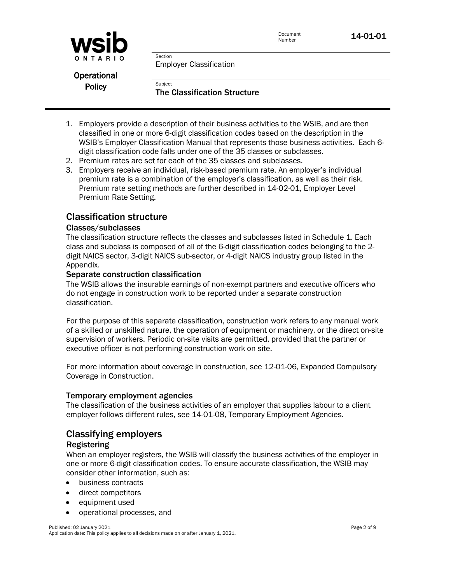



Employer Classification

Section

Subject

Operational **Policy** 

The Classification Structure

- 1. Employers provide a description of their business activities to the WSIB, and are then classified in one or more 6-digit classification codes based on the description in the WSIB's Employer Classification Manual that represents those business activities. Each 6 digit classification code falls under one of the 35 classes or subclasses.
- 2. Premium rates are set for each of the 35 classes and subclasses.
- 3. Employers receive an individual, risk-based premium rate. An employer's individual premium rate is a combination of the employer's classification, as well as their risk. Premium rate setting methods are further described in 14-02-01, Employer Level Premium Rate Setting.

#### Classification structure

#### Classes/subclasses

The classification structure reflects the classes and subclasses listed in Schedule 1. Each class and subclass is composed of all of the 6-digit classification codes belonging to the 2 digit NAICS sector, 3-digit NAICS sub-sector, or 4-digit NAICS industry group listed in the Appendix.

#### Separate construction classification

The WSIB allows the insurable earnings of non-exempt partners and executive officers who do not engage in construction work to be reported under a separate construction classification.

For the purpose of this separate classification, construction work refers to any manual work of a skilled or unskilled nature, the operation of equipment or machinery, or the direct on-site supervision of workers. Periodic on-site visits are permitted, provided that the partner or executive officer is not performing construction work on site.

For more information about coverage in construction, see 12-01-06, Expanded Compulsory Coverage in Construction.

#### Temporary employment agencies

The classification of the business activities of an employer that supplies labour to a client employer follows different rules, see 14-01-08, Temporary Employment Agencies.

#### Classifying employers

#### Registering

When an employer registers, the WSIB will classify the business activities of the employer in one or more 6-digit classification codes. To ensure accurate classification, the WSIB may consider other information, such as:

- business contracts
- direct competitors
- equipment used
- operational processes, and

Published: 02 January 2021 Application date: This policy applies to all decisions made on or after January 1, 2021.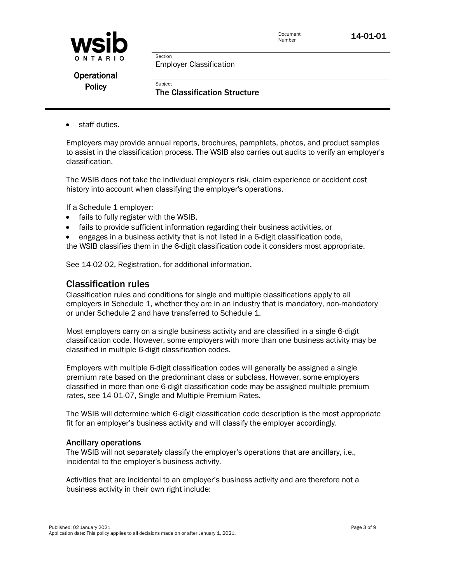



Employer Classification

Section

Subject

Operational **Policy** 

The Classification Structure

staff duties.

Employers may provide annual reports, brochures, pamphlets, photos, and product samples to assist in the classification process. The WSIB also carries out audits to verify an employer's classification.

The WSIB does not take the individual employer's risk, claim experience or accident cost history into account when classifying the employer's operations.

If a Schedule 1 employer:

- fails to fully register with the WSIB,
- fails to provide sufficient information regarding their business activities, or
- engages in a business activity that is not listed in a 6-digit classification code,
- the WSIB classifies them in the 6-digit classification code it considers most appropriate.

See [14-02-02, Registration,](http://www.wsib.on.ca/WSIBPortal/faces/WSIBManualPage?cGUID=14-02-02&rDef=WSIB_RD_OPM&fGUID=835502100635000491) for additional information.

#### Classification rules

Classification rules and conditions for single and multiple classifications apply to all employers in Schedule 1, whether they are in an industry that is mandatory, non-mandatory or under Schedule 2 and have transferred to Schedule 1.

Most employers carry on a single business activity and are classified in a single 6-digit classification code. However, some employers with more than one business activity may be classified in multiple 6-digit classification codes.

Employers with multiple 6-digit classification codes will generally be assigned a single premium rate based on the predominant class or subclass. However, some employers classified in more than one 6-digit classification code may be assigned multiple premium rates, see 14-01-07, Single and Multiple Premium Rates.

The WSIB will determine which 6-digit classification code description is the most appropriate fit for an employer's business activity and will classify the employer accordingly.

#### Ancillary operations

The WSIB will not separately classify the employer's operations that are ancillary, i.e., incidental to the employer's business activity.

Activities that are incidental to an employer's business activity and are therefore not a business activity in their own right include: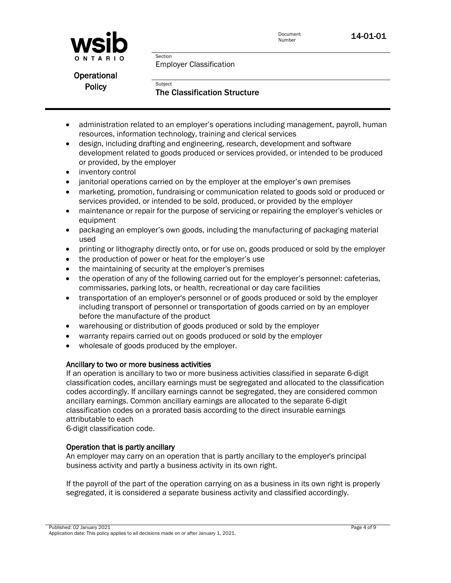



Employer Classification

Section

Subject

Operational **Policy** 

The Classification Structure

- administration related to an employer's operations including management, payroll, human resources, information technology, training and clerical services
- design, including drafting and engineering, research, development and software development related to goods produced or services provided, or intended to be produced or provided, by the employer
- inventory control
- janitorial operations carried on by the employer at the employer's own premises
- marketing, promotion, fundraising or communication related to goods sold or produced or services provided, or intended to be sold, produced, or provided by the employer
- maintenance or repair for the purpose of servicing or repairing the employer's vehicles or equipment
- packaging an employer's own goods, including the manufacturing of packaging material used
- printing or lithography directly onto, or for use on, goods produced or sold by the employer
- the production of power or heat for the employer's use
- the maintaining of security at the employer's premises
- the operation of any of the following carried out for the employer's personnel: cafeterias, commissaries, parking lots, or health, recreational or day care facilities
- transportation of an employer's personnel or of goods produced or sold by the employer including transport of personnel or transportation of goods carried on by an employer before the manufacture of the product
- warehousing or distribution of goods produced or sold by the employer
- warranty repairs carried out on goods produced or sold by the employer
- wholesale of goods produced by the employer.

#### Ancillary to two or more business activities

If an operation is ancillary to two or more business activities classified in separate 6-digit classification codes, ancillary earnings must be segregated and allocated to the classification codes accordingly. If ancillary earnings cannot be segregated, they are considered common ancillary earnings. Common ancillary earnings are allocated to the separate 6-digit classification codes on a prorated basis according to the direct insurable earnings attributable to each

6-digit classification code.

#### Operation that is partly ancillary

An employer may carry on an operation that is partly ancillary to the employer's principal business activity and partly a business activity in its own right.

If the payroll of the part of the operation carrying on as a business in its own right is properly segregated, it is considered a separate business activity and classified accordingly.

Published: 02 January 2021 Application date: This policy applies to all decisions made on or after January 1, 2021.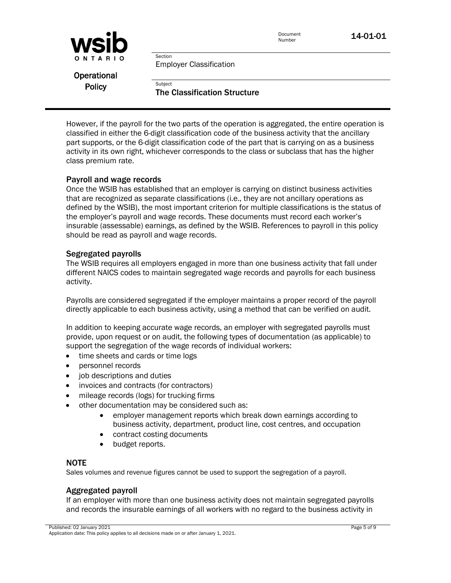

Employer Classification

Section

Subject

Operational **Policy** 

The Classification Structure

However, if the payroll for the two parts of the operation is aggregated, the entire operation is classified in either the 6-digit classification code of the business activity that the ancillary part supports, or the 6-digit classification code of the part that is carrying on as a business activity in its own right, whichever corresponds to the class or subclass that has the higher class premium rate.

#### Payroll and wage records

Once the WSIB has established that an employer is carrying on distinct business activities that are recognized as separate classifications (i.e., they are not ancillary operations as defined by the WSIB), the most important criterion for multiple classifications is the status of the employer's payroll and wage records. These documents must record each worker's insurable (assessable) earnings, as defined by the WSIB. References to payroll in this policy should be read as payroll and wage records.

#### Segregated payrolls

The WSIB requires all employers engaged in more than one business activity that fall under different NAICS codes to maintain segregated wage records and payrolls for each business activity.

Payrolls are considered segregated if the employer maintains a proper record of the payroll directly applicable to each business activity, using a method that can be verified on audit.

In addition to keeping accurate wage records, an employer with segregated payrolls must provide, upon request or on audit, the following types of documentation (as applicable) to support the segregation of the wage records of individual workers:

- time sheets and cards or time logs
- personnel records
- job descriptions and duties
- invoices and contracts (for contractors)
- mileage records (logs) for trucking firms
- other documentation may be considered such as:
	- employer management reports which break down earnings according to business activity, department, product line, cost centres, and occupation
	- contract costing documents
	- budget reports.

#### NOTE

Sales volumes and revenue figures cannot be used to support the segregation of a payroll.

#### Aggregated payroll

If an employer with more than one business activity does not maintain segregated payrolls and records the insurable earnings of all workers with no regard to the business activity in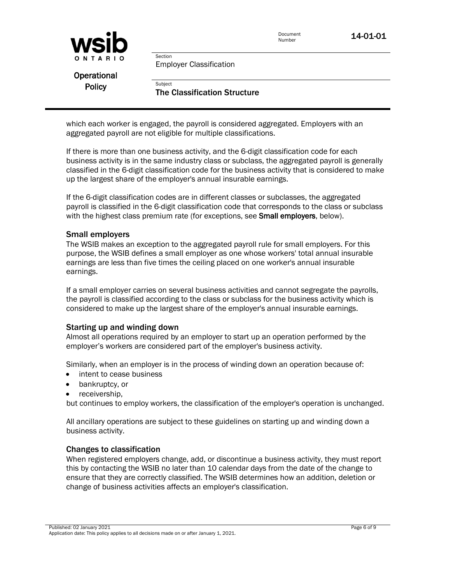

Employer Classification

Section

Subject

Operational **Policy** 

The Classification Structure

which each worker is engaged, the payroll is considered aggregated. Employers with an aggregated payroll are not eligible for multiple classifications.

If there is more than one business activity, and the 6-digit classification code for each business activity is in the same industry class or subclass, the aggregated payroll is generally classified in the 6-digit classification code for the business activity that is considered to make up the largest share of the employer's annual insurable earnings.

If the 6-digit classification codes are in different classes or subclasses, the aggregated payroll is classified in the 6-digit classification code that corresponds to the class or subclass with the highest class premium rate (for exceptions, see **Small employers**, below).

#### Small employers

The WSIB makes an exception to the aggregated payroll rule for small employers. For this purpose, the WSIB defines a small employer as one whose workers' total annual insurable earnings are less than five times the ceiling placed on one worker's annual insurable earnings.

If a small employer carries on several business activities and cannot segregate the payrolls, the payroll is classified according to the class or subclass for the business activity which is considered to make up the largest share of the employer's annual insurable earnings.

#### Starting up and winding down

Almost all operations required by an employer to start up an operation performed by the employer's workers are considered part of the employer's business activity.

Similarly, when an employer is in the process of winding down an operation because of:

- intent to cease business
- bankruptcy, or
- receivership.

but continues to employ workers, the classification of the employer's operation is unchanged.

All ancillary operations are subject to these guidelines on starting up and winding down a business activity.

#### Changes to classification

When registered employers change, add, or discontinue a business activity, they must report this by contacting the WSIB no later than 10 calendar days from the date of the change to ensure that they are correctly classified. The WSIB determines how an addition, deletion or change of business activities affects an employer's classification.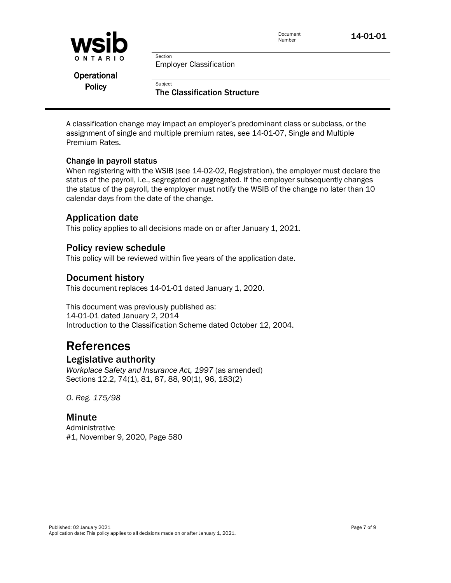

Employer Classification

Section

Subject

**Operational Policy** 

The Classification Structure

A classification change may impact an employer's predominant class or subclass, or the assignment of single and multiple premium rates, see 14-01-07, Single and Multiple Premium Rates.

#### Change in payroll status

When registering with the WSIB (see 14-02-02, Registration), the employer must declare the status of the payroll, i.e., segregated or aggregated. If the employer subsequently changes the status of the payroll, the employer must notify the WSIB of the change no later than 10 calendar days from the date of the change.

#### Application date

This policy applies to all decisions made on or after January 1, 2021.

#### Policy review schedule

This policy will be reviewed within five years of the application date.

#### Document history

This document replaces 14-01-01 dated January 1, 2020.

This document was previously published as: 14-01-01 dated January 2, 2014 Introduction to the Classification Scheme dated October 12, 2004.

# References

#### Legislative authority

*Workplace Safety and Insurance Act, 1997* (as amended) Sections 12.2, 74(1), 81, 87, 88, 90(1), 96, 183(2)

*O. Reg. 175/98*

#### Minute

Administrative #1, November 9, 2020, Page 580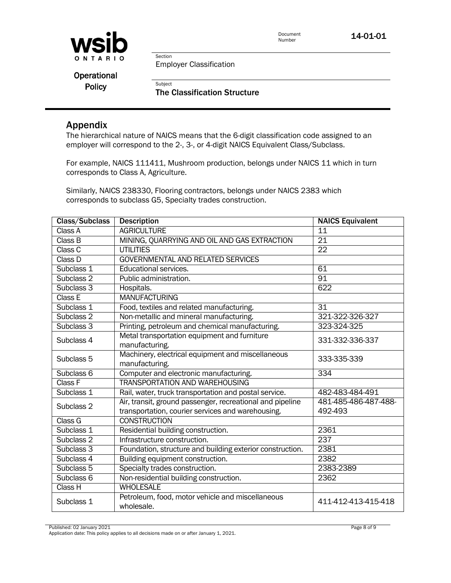

Section Employer Classification

Subject

**Operational Policy** 

The Classification Structure

#### Appendix

The hierarchical nature of NAICS means that the 6-digit classification code assigned to an employer will correspond to the 2-, 3-, or 4-digit NAICS Equivalent Class/Subclass.

For example, NAICS 111411, Mushroom production, belongs under NAICS 11 which in turn corresponds to Class A, Agriculture.

Similarly, NAICS 238330, Flooring contractors, belongs under NAICS 2383 which corresponds to subclass G5, Specialty trades construction.

| Class/Subclass        | <b>Description</b>                                        | <b>NAICS Equivalent</b> |
|-----------------------|-----------------------------------------------------------|-------------------------|
| Class A               | <b>AGRICULTURE</b>                                        | 11                      |
| Class B               | MINING, QUARRYING AND OIL AND GAS EXTRACTION              | $\overline{21}$         |
| Class C               | <b>UTILITIES</b>                                          | $\overline{22}$         |
| Class D               | <b>GOVERNMENTAL AND RELATED SERVICES</b>                  |                         |
| Subclass 1            | Educational services.                                     | 61                      |
| Subclass <sub>2</sub> | Public administration.                                    | 91                      |
| Subclass 3            | Hospitals.                                                | 622                     |
| Class E               | <b>MANUFACTURING</b>                                      |                         |
| Subclass 1            | Food, textiles and related manufacturing.                 | $\overline{31}$         |
| Subclass 2            | Non-metallic and mineral manufacturing.                   | 321-322-326-327         |
| Subclass 3            | Printing, petroleum and chemical manufacturing.           | 323-324-325             |
| Subclass 4            | Metal transportation equipment and furniture              | 331-332-336-337         |
|                       | manufacturing.                                            |                         |
| Subclass 5            | Machinery, electrical equipment and miscellaneous         | 333-335-339             |
|                       | manufacturing.                                            |                         |
| Subclass 6            | Computer and electronic manufacturing.                    | $\overline{334}$        |
| Class F               | <b>TRANSPORTATION AND WAREHOUSING</b>                     |                         |
| Subclass 1            | Rail, water, truck transportation and postal service.     | 482-483-484-491         |
| Subclass 2            | Air, transit, ground passenger, recreational and pipeline | 481-485-486-487-488-    |
|                       | transportation, courier services and warehousing.         | 492-493                 |
| Class G               | <b>CONSTRUCTION</b>                                       |                         |
| Subclass 1            | Residential building construction.                        | 2361                    |
| Subclass <sub>2</sub> | Infrastructure construction.                              | 237                     |
| Subclass 3            | Foundation, structure and building exterior construction. | 2381                    |
| Subclass 4            | Building equipment construction.                          | 2382                    |
| Subclass 5            | Specialty trades construction.                            | 2383-2389               |
| Subclass 6            | Non-residential building construction.                    | 2362                    |
| Class H               | <b>WHOLESALE</b>                                          |                         |
| Subclass 1            | Petroleum, food, motor vehicle and miscellaneous          | 411-412-413-415-418     |
|                       | wholesale.                                                |                         |